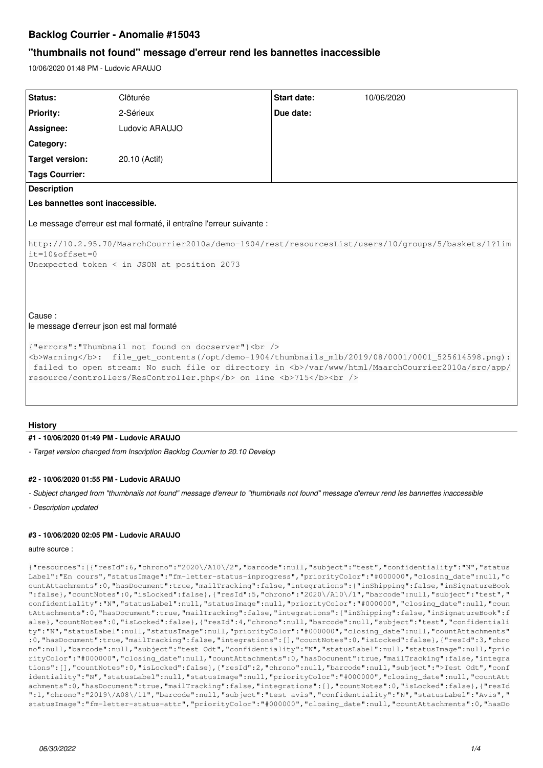# **Backlog Courrier - Anomalie #15043**

# **"thumbnails not found" message d'erreur rend les bannettes inaccessible**

10/06/2020 01:48 PM - Ludovic ARAUJO

| Status:                                                                                                                                                                                                                                                                                                                | Clôturée       | Start date: | 10/06/2020 |
|------------------------------------------------------------------------------------------------------------------------------------------------------------------------------------------------------------------------------------------------------------------------------------------------------------------------|----------------|-------------|------------|
| <b>Priority:</b>                                                                                                                                                                                                                                                                                                       | 2-Sérieux      | Due date:   |            |
| Assignee:                                                                                                                                                                                                                                                                                                              | Ludovic ARAUJO |             |            |
| Category:                                                                                                                                                                                                                                                                                                              |                |             |            |
| <b>Target version:</b>                                                                                                                                                                                                                                                                                                 | 20.10 (Actif)  |             |            |
| <b>Tags Courrier:</b>                                                                                                                                                                                                                                                                                                  |                |             |            |
| <b>Description</b>                                                                                                                                                                                                                                                                                                     |                |             |            |
| Les bannettes sont inaccessible.                                                                                                                                                                                                                                                                                       |                |             |            |
| Le message d'erreur est mal formaté, il entraîne l'erreur suivante :<br>http://10.2.95.70/MaarchCourrier2010a/demo-1904/rest/resourcesList/users/10/groups/5/baskets/1?lim<br>$it=10$ & offset=0<br>Unexpected token < in JSON at position 2073                                                                        |                |             |            |
| Cause:<br>le message d'erreur json est mal formaté<br>{"errors":"Thumbnail not found on docserver"}<br><br><b>Warning</b> : file_get_contents(/opt/demo-1904/thumbnails_mlb/2019/08/0001/0001_525614598.png):<br>failed to open stream: No such file or directory in <b>/var/www/html/MaarchCourrier2010a/src/app/</b> |                |             |            |

## **History**

#### **#1 - 10/06/2020 01:49 PM - Ludovic ARAUJO**

*- Target version changed from Inscription Backlog Courrier to 20.10 Develop*

### **#2 - 10/06/2020 01:55 PM - Ludovic ARAUJO**

*- Subject changed from "thumbnails not found" message d'erreur to "thumbnails not found" message d'erreur rend les bannettes inaccessible*

*- Description updated*

## **#3 - 10/06/2020 02:05 PM - Ludovic ARAUJO**

#### autre source :

{"resources":[{"resId":6,"chrono":"2020\/A10\/2","barcode":null,"subject":"test","confidentiality":"N","status Label":"En cours","statusImage":"fm-letter-status-inprogress","priorityColor":"#000000","closing\_date":null,"c ountAttachments":0,"hasDocument":true,"mailTracking":false,"integrations":{"inShipping":false,"inSignatureBook ":false},"countNotes":0,"isLocked":false},{"resId":5,"chrono":"2020\/A10\/1","barcode":null,"subject":"test"," confidentiality":"N","statusLabel":null,"statusImage":null,"priorityColor":"#000000","closing\_date":null,"coun tAttachments":0,"hasDocument":true,"mailTracking":false,"integrations":{"inShipping":false,"inSignatureBook":f alse},"countNotes":0,"isLocked":false},{"resId":4,"chrono":null,"barcode":null,"subject":"test","confidentiali ty":"N","statusLabel":null,"statusImage":null,"priorityColor":"#000000","closing\_date":null,"countAttachments" :0,"hasDocument":true,"mailTracking":false,"integrations":[],"countNotes":0,"isLocked":false},{"resId":3,"chro no":null,"barcode":null,"subject":"test Odt","confidentiality":"N","statusLabel":null,"statusImage":null,"prio rityColor":"#000000","closing\_date":null,"countAttachments":0,"hasDocument":true,"mailTracking":false,"integra tions":[],"countNotes":0,"isLocked":false},{"resId":2,"chrono":null,"barcode":null,"subject":">Test Odt","conf identiality":"N","statusLabel":null,"statusImage":null,"priorityColor":"#000000","closing\_date":null,"countAtt achments":0,"hasDocument":true,"mailTracking":false,"integrations":[],"countNotes":0,"isLocked":false},{"resId ":1,"chrono":"2019\/A08\/11","barcode":null,"subject":"test avis","confidentiality":"N","statusLabel":"Avis"," statusImage":"fm-letter-status-attr","priorityColor":"#000000","closing\_date":null,"countAttachments":0,"hasDo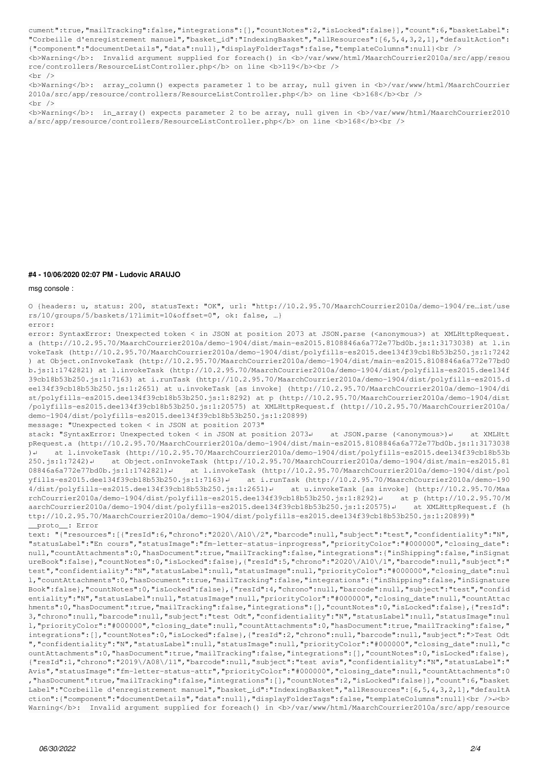cument":true,"mailTracking":false,"integrations":[],"countNotes":2,"isLocked":false}],"count":6,"basketLabel": "Corbeille d'enregistrement manuel","basket\_id":"IndexingBasket","allResources":[6,5,4,3,2,1],"defaultAction": {"component":"documentDetails","data":null},"displayFolderTags":false,"templateColumns":null}<br />

<b>Warning</b>: Invalid argument supplied for foreach() in <b>/var/www/html/MaarchCourrier2010a/src/app/resou rce/controllers/ResourceListController.php</b> on line <br/> <br/>b>119</b><br/>>br />

 $\text{chr}$  />

<b>Warning</b>: array\_column() expects parameter 1 to be array, null given in <b>/var/www/html/MaarchCourrier 2010a/src/app/resource/controllers/ResourceListController.php</b> on line <b>><br />b><br />  $\text{chr}$  />

<b>Warning</b>: in\_array() expects parameter 2 to be array, null given in <b>/var/www/html/MaarchCourrier2010 a/src/app/resource/controllers/ResourceListController.php</b> on line <b>><br />b><br /><br />

#### **#4 - 10/06/2020 02:07 PM - Ludovic ARAUJO**

msg console :

O {headers: u, status: 200, statusText: "OK", url: "http://10.2.95.70/MaarchCourrier2010a/demo-1904/re…ist/use rs/10/groups/5/baskets/1?limit=10&offset=0", ok: false, …} error:

error: SyntaxError: Unexpected token < in JSON at position 2073 at JSON.parse (<anonymous>) at XMLHttpRequest. a (http://10.2.95.70/MaarchCourrier2010a/demo-1904/dist/main-es2015.8108846a6a772e77bd0b.js:1:3173038) at l.in vokeTask (http://10.2.95.70/MaarchCourrier2010a/demo-1904/dist/polyfills-es2015.dee134f39cb18b53b250.js:1:7242 ) at Object.onInvokeTask (http://10.2.95.70/MaarchCourrier2010a/demo-1904/dist/main-es2015.8108846a6a772e77bd0 b.js:1:1742821) at l.invokeTask (http://10.2.95.70/MaarchCourrier2010a/demo-1904/dist/polyfills-es2015.dee134f 39cb18b53b250.js:1:7163) at i.runTask (http://10.2.95.70/MaarchCourrier2010a/demo-1904/dist/polyfills-es2015.d ee134f39cb18b53b250.js:1:2651) at u.invokeTask [as invoke] (http://10.2.95.70/MaarchCourrier2010a/demo-1904/di st/polyfills-es2015.dee134f39cb18b53b250.js:1:8292) at p (http://10.2.95.70/MaarchCourrier2010a/demo-1904/dist /polyfills-es2015.dee134f39cb18b53b250.js:1:20575) at XMLHttpRequest.f (http://10.2.95.70/MaarchCourrier2010a/ demo-1904/dist/polyfills-es2015.dee134f39cb18b53b250.js:1:20899) message: "Unexpected token < in JSON at position 2073"

stack: "SyntaxError: Unexpected token < in JSON at position 2073↵ at JSON.parse (<anonymous>)↵ at XMLHtt pRequest.a (http://10.2.95.70/MaarchCourrier2010a/demo-1904/dist/main-es2015.8108846a6a772e77bd0b.js:1:3173038 )↵ at l.invokeTask (http://10.2.95.70/MaarchCourrier2010a/demo-1904/dist/polyfills-es2015.dee134f39cb18b53b 250.js:1:7242)↵ at Object.onInvokeTask (http://10.2.95.70/MaarchCourrier2010a/demo-1904/dist/main-es2015.81 08846a6a772e77bd0b.js:1:1742821)↵ at l.invokeTask (http://10.2.95.70/MaarchCourrier2010a/demo-1904/dist/pol yfills-es2015.dee134f39cb18b53b250.js:1:7163)↵ at i.runTask (http://10.2.95.70/MaarchCourrier2010a/demo-190 4/dist/polyfills-es2015.dee134f39cb18b53b250.js:1:2651)↵ at u.invokeTask [as invoke] (http://10.2.95.70/Maa rchCourrier2010a/demo-1904/dist/polyfills-es2015.dee134f39cb18b53b250.js:1:8292)↵ at p (http://10.2.95.70/M aarchCourrier2010a/demo-1904/dist/polyfills-es2015.dee134f39cb18b53b250.js:1:20575)↵ at XMLHttpRequest.f (h ttp://10.2.95.70/MaarchCourrier2010a/demo-1904/dist/polyfills-es2015.dee134f39cb18b53b250.js:1:20899)" \_\_proto\_\_: Error

text: "{"resources":[{"resId":6,"chrono":"2020\/A10\/2","barcode":null,"subject":"test","confidentiality":"N", "statusLabel":"En cours","statusImage":"fm-letter-status-inprogress","priorityColor":"#000000","closing\_date": null,"countAttachments":0,"hasDocument":true,"mailTracking":false,"integrations":{"inShipping":false,"inSignat ureBook":false},"countNotes":0,"isLocked":false},{"resId":5,"chrono":"2020\/A10\/1","barcode":null,"subject":" test","confidentiality":"N","statusLabel":null,"statusImage":null,"priorityColor":"#000000","closing\_date":nul l,"countAttachments":0,"hasDocument":true,"mailTracking":false,"integrations":{"inShipping":false,"inSignature Book":false},"countNotes":0,"isLocked":false},{"resId":4,"chrono":null,"barcode":null,"subject":"test","confid entiality":"N","statusLabel":null,"statusImage":null,"priorityColor":"#000000","closing\_date":null,"countAttac hments":0,"hasDocument":true,"mailTracking":false,"integrations":[],"countNotes":0,"isLocked":false},{"resId": 3,"chrono":null,"barcode":null,"subject":"test Odt","confidentiality":"N","statusLabel":null,"statusImage":nul l,"priorityColor":"#000000","closing\_date":null,"countAttachments":0,"hasDocument":true,"mailTracking":false," integrations":[],"countNotes":0,"isLocked":false},{"resId":2,"chrono":null,"barcode":null,"subject":">Test Odt ","confidentiality":"N","statusLabel":null,"statusImage":null,"priorityColor":"#000000","closing\_date":null,"c ountAttachments":0,"hasDocument":true,"mailTracking":false,"integrations":[],"countNotes":0,"isLocked":false}, {"resId":1,"chrono":"2019\/A08\/11","barcode":null,"subject":"test avis","confidentiality":"N","statusLabel":" Avis","statusImage":"fm-letter-status-attr","priorityColor":"#000000","closing\_date":null,"countAttachments":0 ,"hasDocument":true,"mailTracking":false,"integrations":[],"countNotes":2,"isLocked":false}],"count":6,"basket Label":"Corbeille d'enregistrement manuel","basket\_id":"IndexingBasket","allResources":[6,5,4,3,2,1],"defaultA ction":{"component":"documentDetails","data":null},"displayFolderTags":false,"templateColumns":null}<br /> Warning</b>: Invalid argument supplied for foreach() in <b>/var/www/html/MaarchCourrier2010a/src/app/resource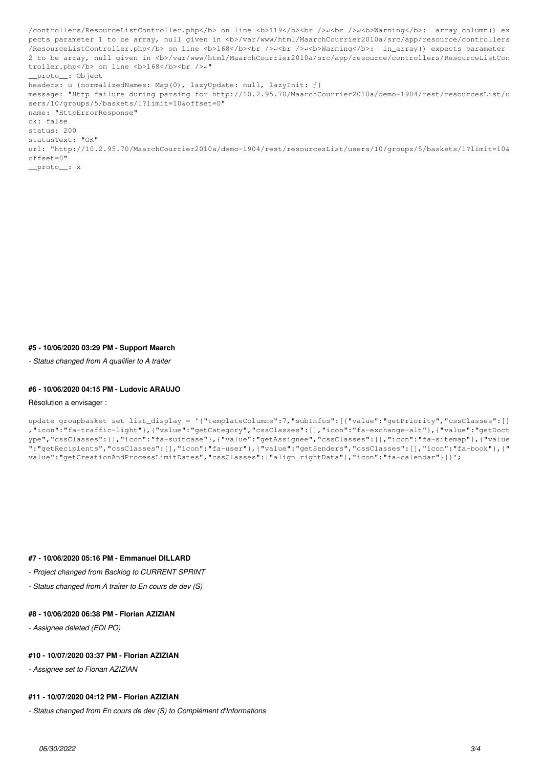/controllers/ResourceListController.php</b> on line <b>119</b><br />
/>>
/>
/>
/>
/>
/>
/>
/>
//warning</b>: array\_column</b> pects parameter 1 to be array, null given in <b>/var/www/html/MaarchCourrier2010a/src/app/resource/controllers /ResourceListController.php</b> on line <b>168</b><br />↵<br />↵<b>Warning</b>: in\_array() expects parameter 2 to be array, null given in <b>/var/www/html/MaarchCourrier2010a/src/app/resource/controllers/ResourceListCon troller.php</b> on line <b>168</b><br />↵" \_\_proto\_\_: Object headers: u {normalizedNames: Map(0), lazyUpdate: null, lazyInit: f} message: "Http failure during parsing for http://10.2.95.70/MaarchCourrier2010a/demo-1904/rest/resourcesList/u sers/10/groups/5/baskets/1?limit=10&offset=0" name: "HttpErrorResponse" ok: false status: 200 statusText: "OK" url: "http://10.2.95.70/MaarchCourrier2010a/demo-1904/rest/resourcesList/users/10/groups/5/baskets/1?limit=10& offset=0" proto : x

### **#5 - 10/06/2020 03:29 PM - Support Maarch**

*- Status changed from A qualifier to A traiter*

#### **#6 - 10/06/2020 04:15 PM - Ludovic ARAUJO**

#### Résolution a envisager :

```
update groupbasket set list_display = '{"templateColumns":7,"subInfos":[{"value":"getPriority","cssClasses":[]
,"icon":"fa-traffic-light"},{"value":"getCategory","cssClasses":[],"icon":"fa-exchange-alt"},{"value":"getDoct
ype","cssClasses":[],"icon":"fa-suitcase"},{"value":"getAssignee","cssClasses":[],"icon":"fa-sitemap"},{"value
":"getRecipients","cssClasses":[],"icon":"fa-user"},{"value":"getSenders","cssClasses":[],"icon":"fa-book"},{"
value":"getCreationAndProcessLimitDates","cssClasses":["align_rightData"],"icon":"fa-calendar"}]}';
```
### **#7 - 10/06/2020 05:16 PM - Emmanuel DILLARD**

- *Project changed from Backlog to CURRENT SPRINT*
- *Status changed from A traiter to En cours de dev (S)*

# **#8 - 10/06/2020 06:38 PM - Florian AZIZIAN**

*- Assignee deleted (EDI PO)*

# **#10 - 10/07/2020 03:37 PM - Florian AZIZIAN**

*- Assignee set to Florian AZIZIAN*

# **#11 - 10/07/2020 04:12 PM - Florian AZIZIAN**

*- Status changed from En cours de dev (S) to Complément d'Informations*